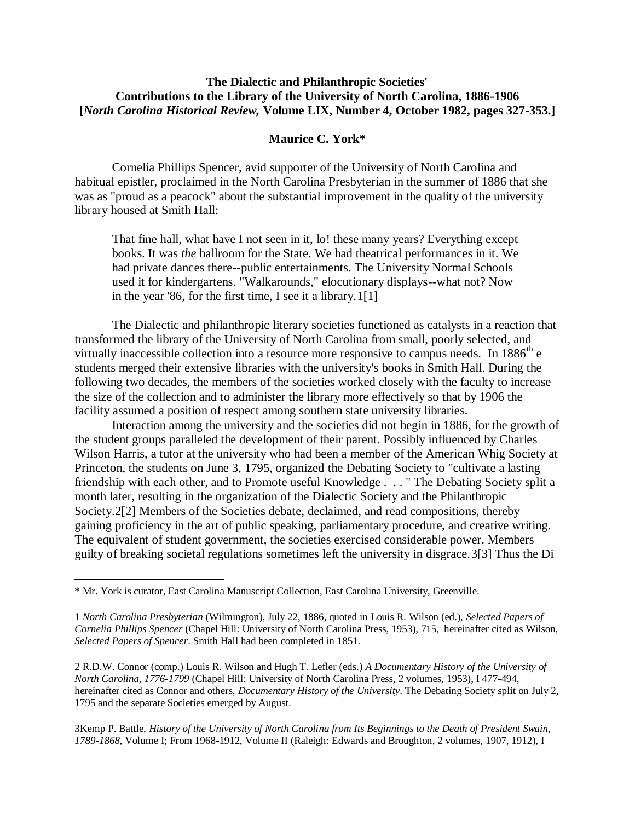#### **The Dialectic and Philanthropic Societies' Contributions to the Library of the University of North Carolina, 1886-1906 [***North Carolina Historical Review,* **Volume LIX, Number 4, October 1982, pages 327-353.]**

#### **Maurice C. York\***

Cornelia Phillips Spencer, avid supporter of the University of North Carolina and habitual epistler, proclaimed in the North Carolina Presbyterian in the summer of 1886 that she was as "proud as a peacock" about the substantial improvement in the quality of the university library housed at Smith Hall:

That fine hall, what have I not seen in it, lo! these many years? Everything except books. It was *the* ballroom for the State. We had theatrical performances in it. We had private dances there--public entertainments. The University Normal Schools used it for kindergartens. "Walkarounds," elocutionary displays--what not? Now in the year '86, for the first time, I see it a library.1[1]

The Dialectic and philanthropic literary societies functioned as catalysts in a reaction that transformed the library of the University of North Carolina from small, poorly selected, and virtually inaccessible collection into a resource more responsive to campus needs. In  $1886^{\text{th}}$  e students merged their extensive libraries with the university's books in Smith Hall. During the following two decades, the members of the societies worked closely with the faculty to increase the size of the collection and to administer the library more effectively so that by 1906 the facility assumed a position of respect among southern state university libraries.

Interaction among the university and the societies did not begin in 1886, for the growth of the student groups paralleled the development of their parent. Possibly influenced by Charles Wilson Harris, a tutor at the university who had been a member of the American Whig Society at Princeton, the students on June 3, 1795, organized the Debating Society to "cultivate a lasting friendship with each other, and to Promote useful Knowledge . . . " The Debating Society split a month later, resulting in the organization of the Dialectic Society and the Philanthropic Society.2[2] Members of the Societies debate, declaimed, and read compositions, thereby gaining proficiency in the art of public speaking, parliamentary procedure, and creative writing. The equivalent of student government, the societies exercised considerable power. Members guilty of breaking societal regulations sometimes left the university in disgrace.3[3] Thus the Di

 $\overline{\phantom{a}}$ 

3Kemp P. Battle, *History of the University of North Carolina from Its Beginnings to the Death of President Swain, 1789-1868*, Volume I; From 1968-1912, Volume II (Raleigh: Edwards and Broughton, 2 volumes, 1907, 1912), I

<sup>\*</sup> Mr. York is curator, East Carolina Manuscript Collection, East Carolina University, Greenville.

<sup>1</sup> *North Carolina Presbyterian* (Wilmington), July 22, 1886, quoted in Louis R. Wilson (ed.), *Selected Papers of Cornelia Phillips Spencer* (Chapel Hill: University of North Carolina Press, 1953), 715, hereinafter cited as Wilson, *Selected Papers of Spencer*. Smith Hall had been completed in 1851.

<sup>2</sup> R.D.W. Connor (comp.) Louis R. Wilson and Hugh T. Lefler (eds.) *A Documentary History of the University of North Carolina, 1776-1799* (Chapel Hill: University of North Carolina Press, 2 volumes, 1953), I 477-494, hereinafter cited as Connor and others, *Documentary History of the University*. The Debating Society split on July 2, 1795 and the separate Societies emerged by August.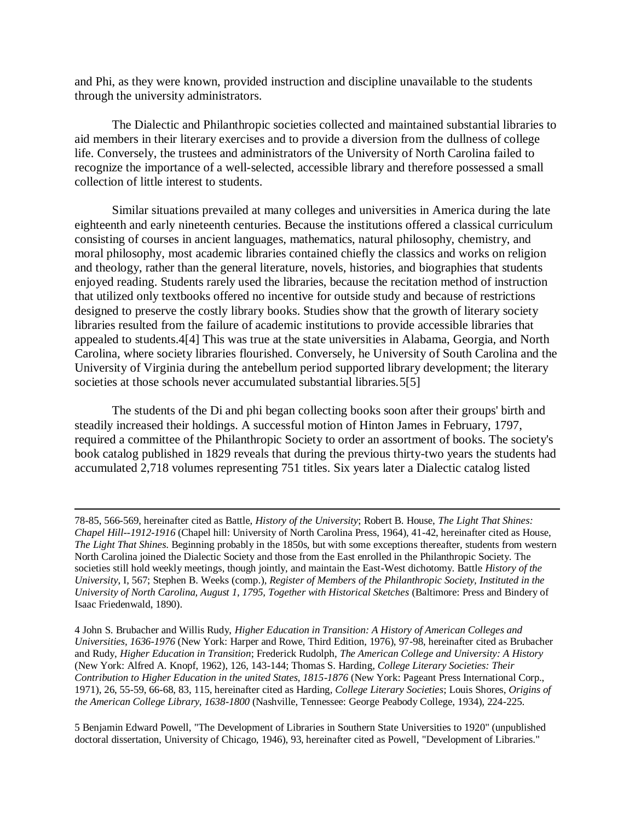and Phi, as they were known, provided instruction and discipline unavailable to the students through the university administrators.

The Dialectic and Philanthropic societies collected and maintained substantial libraries to aid members in their literary exercises and to provide a diversion from the dullness of college life. Conversely, the trustees and administrators of the University of North Carolina failed to recognize the importance of a well-selected, accessible library and therefore possessed a small collection of little interest to students.

Similar situations prevailed at many colleges and universities in America during the late eighteenth and early nineteenth centuries. Because the institutions offered a classical curriculum consisting of courses in ancient languages, mathematics, natural philosophy, chemistry, and moral philosophy, most academic libraries contained chiefly the classics and works on religion and theology, rather than the general literature, novels, histories, and biographies that students enjoyed reading. Students rarely used the libraries, because the recitation method of instruction that utilized only textbooks offered no incentive for outside study and because of restrictions designed to preserve the costly library books. Studies show that the growth of literary society libraries resulted from the failure of academic institutions to provide accessible libraries that appealed to students.4[4] This was true at the state universities in Alabama, Georgia, and North Carolina, where society libraries flourished. Conversely, he University of South Carolina and the University of Virginia during the antebellum period supported library development; the literary societies at those schools never accumulated substantial libraries. 5[5]

The students of the Di and phi began collecting books soon after their groups' birth and steadily increased their holdings. A successful motion of Hinton James in February, 1797, required a committee of the Philanthropic Society to order an assortment of books. The society's book catalog published in 1829 reveals that during the previous thirty-two years the students had accumulated 2,718 volumes representing 751 titles. Six years later a Dialectic catalog listed

 $\overline{a}$ 

5 Benjamin Edward Powell, "The Development of Libraries in Southern State Universities to 1920" (unpublished doctoral dissertation, University of Chicago, 1946), 93, hereinafter cited as Powell, "Development of Libraries."

<sup>78-85, 566-569,</sup> hereinafter cited as Battle, *History of the University*; Robert B. House, *The Light That Shines: Chapel Hill--1912-1916* (Chapel hill: University of North Carolina Press, 1964), 41-42, hereinafter cited as House, *The Light That Shines*. Beginning probably in the 1850s, but with some exceptions thereafter, students from western North Carolina joined the Dialectic Society and those from the East enrolled in the Philanthropic Society. The societies still hold weekly meetings, though jointly, and maintain the East-West dichotomy. Battle *History of the University*, I, 567; Stephen B. Weeks (comp.), *Register of Members of the Philanthropic Society, Instituted in the University of North Carolina, August 1, 1795, Together with Historical Sketches* (Baltimore: Press and Bindery of Isaac Friedenwald, 1890).

<sup>4</sup> John S. Brubacher and Willis Rudy, *Higher Education in Transition: A History of American Colleges and Universities, 1636-1976* (New York: Harper and Rowe, Third Edition, 1976), 97-98, hereinafter cited as Brubacher and Rudy, *Higher Education in Transition*; Frederick Rudolph, *The American College and University: A History* (New York: Alfred A. Knopf, 1962), 126, 143-144; Thomas S. Harding*, College Literary Societies: Their Contribution to Higher Education in the united States, 1815-1876* (New York: Pageant Press International Corp., 1971), 26, 55-59, 66-68, 83, 115, hereinafter cited as Harding*, College Literary Societies*; Louis Shores, *Origins of the American College Library, 1638-1800* (Nashville, Tennessee: George Peabody College, 1934), 224-225.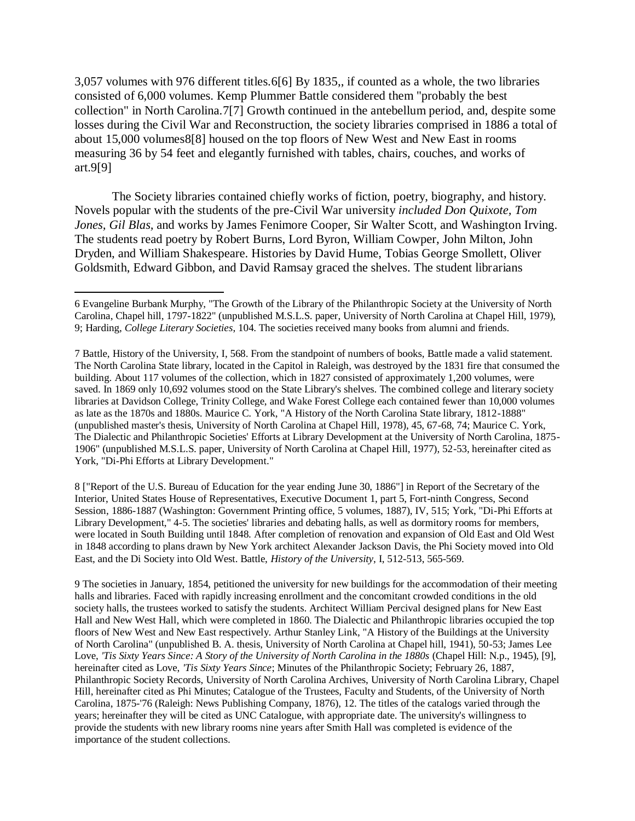3,057 volumes with 976 different titles.6[6] By 1835,, if counted as a whole, the two libraries consisted of 6,000 volumes. Kemp Plummer Battle considered them "probably the best collection" in North Carolina.7[7] Growth continued in the antebellum period, and, despite some losses during the Civil War and Reconstruction, the society libraries comprised in 1886 a total of about 15,000 volumes8[8] housed on the top floors of New West and New East in rooms measuring 36 by 54 feet and elegantly furnished with tables, chairs, couches, and works of art.9[9]

The Society libraries contained chiefly works of fiction, poetry, biography, and history. Novels popular with the students of the pre-Civil War university *included Don Quixote, Tom Jones, Gil Blas,* and works by James Fenimore Cooper, Sir Walter Scott, and Washington Irving. The students read poetry by Robert Burns, Lord Byron, William Cowper, John Milton, John Dryden, and William Shakespeare. Histories by David Hume, Tobias George Smollett, Oliver Goldsmith, Edward Gibbon, and David Ramsay graced the shelves. The student librarians

8 ["Report of the U.S. Bureau of Education for the year ending June 30, 1886"] in Report of the Secretary of the Interior, United States House of Representatives, Executive Document 1, part 5, Fort-ninth Congress, Second Session, 1886-1887 (Washington: Government Printing office, 5 volumes, 1887), IV, 515; York, "Di-Phi Efforts at Library Development," 4-5. The societies' libraries and debating halls, as well as dormitory rooms for members, were located in South Building until 1848. After completion of renovation and expansion of Old East and Old West in 1848 according to plans drawn by New York architect Alexander Jackson Davis, the Phi Society moved into Old East, and the Di Society into Old West. Battle, *History of the University*, I, 512-513, 565-569.

9 The societies in January, 1854, petitioned the university for new buildings for the accommodation of their meeting halls and libraries. Faced with rapidly increasing enrollment and the concomitant crowded conditions in the old society halls, the trustees worked to satisfy the students. Architect William Percival designed plans for New East Hall and New West Hall, which were completed in 1860. The Dialectic and Philanthropic libraries occupied the top floors of New West and New East respectively. Arthur Stanley Link, "A History of the Buildings at the University of North Carolina" (unpublished B. A. thesis, University of North Carolina at Chapel hill, 1941), 50-53; James Lee Love, *'Tis Sixty Years Since: A Story of the University of North Carolina in the 1880s* (Chapel Hill: N.p., 1945), [9], hereinafter cited as Love, *'Tis Sixty Years Since*; Minutes of the Philanthropic Society; February 26, 1887, Philanthropic Society Records, University of North Carolina Archives, University of North Carolina Library, Chapel Hill, hereinafter cited as Phi Minutes; Catalogue of the Trustees, Faculty and Students, of the University of North Carolina, 1875-'76 (Raleigh: News Publishing Company, 1876), 12. The titles of the catalogs varied through the years; hereinafter they will be cited as UNC Catalogue, with appropriate date. The university's willingness to provide the students with new library rooms nine years after Smith Hall was completed is evidence of the importance of the student collections.

 $\overline{\phantom{a}}$ 6 Evangeline Burbank Murphy, "The Growth of the Library of the Philanthropic Society at the University of North Carolina, Chapel hill, 1797-1822" (unpublished M.S.L.S. paper, University of North Carolina at Chapel Hill, 1979), 9; Harding, *College Literary Societies*, 104. The societies received many books from alumni and friends.

<sup>7</sup> Battle, History of the University, I, 568. From the standpoint of numbers of books, Battle made a valid statement. The North Carolina State library, located in the Capitol in Raleigh, was destroyed by the 1831 fire that consumed the building. About 117 volumes of the collection, which in 1827 consisted of approximately 1,200 volumes, were saved. In 1869 only 10,692 volumes stood on the State Library's shelves. The combined college and literary society libraries at Davidson College, Trinity College, and Wake Forest College each contained fewer than 10,000 volumes as late as the 1870s and 1880s. Maurice C. York, "A History of the North Carolina State library, 1812-1888" (unpublished master's thesis, University of North Carolina at Chapel Hill, 1978), 45, 67-68, 74; Maurice C. York, The Dialectic and Philanthropic Societies' Efforts at Library Development at the University of North Carolina, 1875- 1906" (unpublished M.S.L.S. paper, University of North Carolina at Chapel Hill, 1977), 52-53, hereinafter cited as York, "Di-Phi Efforts at Library Development."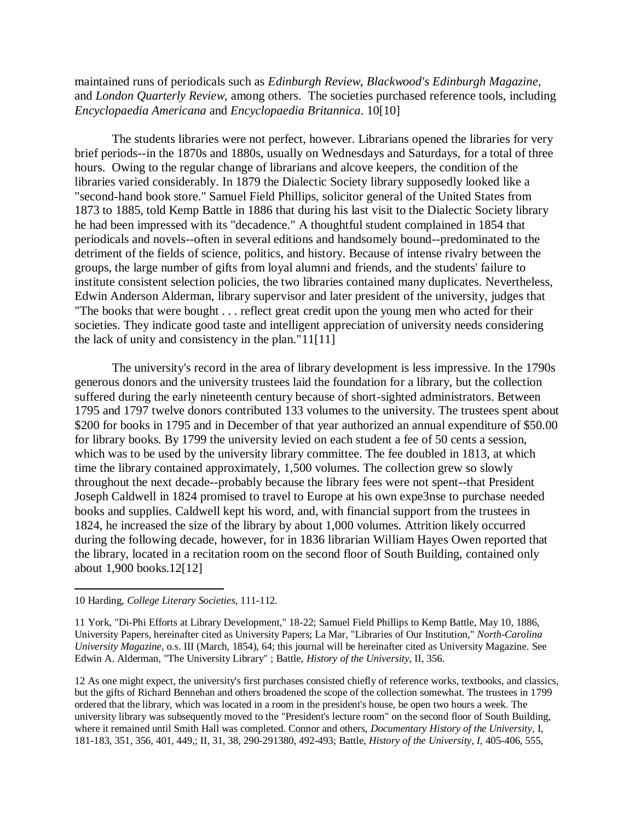maintained runs of periodicals such as *Edinburgh Review*, *Blackwood's Edinburgh Magazine*, and *London Quarterly Review*, among others. The societies purchased reference tools, including *Encyclopaedia Americana* and *Encyclopaedia Britannica*. 10[10]

The students libraries were not perfect, however. Librarians opened the libraries for very brief periods--in the 1870s and 1880s, usually on Wednesdays and Saturdays, for a total of three hours. Owing to the regular change of librarians and alcove keepers, the condition of the libraries varied considerably. In 1879 the Dialectic Society library supposedly looked like a "second-hand book store." Samuel Field Phillips, solicitor general of the United States from 1873 to 1885, told Kemp Battle in 1886 that during his last visit to the Dialectic Society library he had been impressed with its "decadence." A thoughtful student complained in 1854 that periodicals and novels--often in several editions and handsomely bound--predominated to the detriment of the fields of science, politics, and history. Because of intense rivalry between the groups, the large number of gifts from loyal alumni and friends, and the students' failure to institute consistent selection policies, the two libraries contained many duplicates. Nevertheless, Edwin Anderson Alderman, library supervisor and later president of the university, judges that "The books that were bought . . . reflect great credit upon the young men who acted for their societies. They indicate good taste and intelligent appreciation of university needs considering the lack of unity and consistency in the plan."11[11]

The university's record in the area of library development is less impressive. In the 1790s generous donors and the university trustees laid the foundation for a library, but the collection suffered during the early nineteenth century because of short-sighted administrators. Between 1795 and 1797 twelve donors contributed 133 volumes to the university. The trustees spent about \$200 for books in 1795 and in December of that year authorized an annual expenditure of \$50.00 for library books. By 1799 the university levied on each student a fee of 50 cents a session, which was to be used by the university library committee. The fee doubled in 1813, at which time the library contained approximately, 1,500 volumes. The collection grew so slowly throughout the next decade--probably because the library fees were not spent--that President Joseph Caldwell in 1824 promised to travel to Europe at his own expe3nse to purchase needed books and supplies. Caldwell kept his word, and, with financial support from the trustees in 1824, he increased the size of the library by about 1,000 volumes. Attrition likely occurred during the following decade, however, for in 1836 librarian William Hayes Owen reported that the library, located in a recitation room on the second floor of South Building, contained only about 1,900 books.12[12]

<sup>10</sup> Harding, *College Literary Societies*, 111-112.

<sup>11</sup> York, "Di-Phi Efforts at Library Development," 18-22; Samuel Field Phillips to Kemp Battle, May 10, 1886, University Papers, hereinafter cited as University Papers; La Mar, "Libraries of Our Institution," *North-Carolina University Magazine*, o.s. III (March, 1854), 64; this journal will be hereinafter cited as University Magazine. See Edwin A. Alderman, "The University Library" ; Battle, *History of the University*, II, 356.

<sup>12</sup> As one might expect, the university's first purchases consisted chiefly of reference works, textbooks, and classics, but the gifts of Richard Bennehan and others broadened the scope of the collection somewhat. The trustees in 1799 ordered that the library, which was located in a room in the president's house, be open two hours a week. The university library was subsequently moved to the "President's lecture room" on the second floor of South Building, where it remained until Smith Hall was completed. Connor and others, *Documentary History of the University*, I, 181-183, 351, 356, 401, 449,; II, 31, 38, 290-291380, 492-493; Battle, *History of the University, I,* 405-406, 555,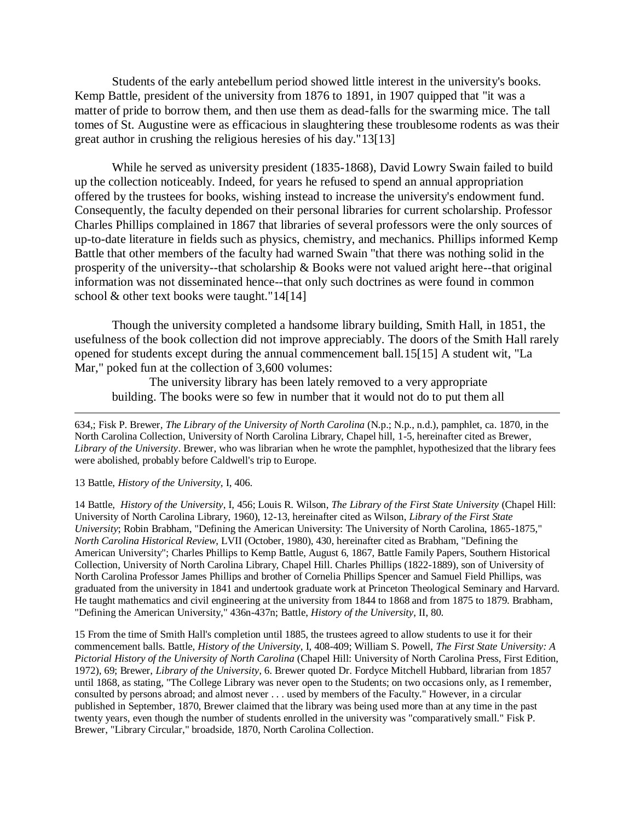Students of the early antebellum period showed little interest in the university's books. Kemp Battle, president of the university from 1876 to 1891, in 1907 quipped that "it was a matter of pride to borrow them, and then use them as dead-falls for the swarming mice. The tall tomes of St. Augustine were as efficacious in slaughtering these troublesome rodents as was their great author in crushing the religious heresies of his day."13[13]

While he served as university president (1835-1868), David Lowry Swain failed to build up the collection noticeably. Indeed, for years he refused to spend an annual appropriation offered by the trustees for books, wishing instead to increase the university's endowment fund. Consequently, the faculty depended on their personal libraries for current scholarship. Professor Charles Phillips complained in 1867 that libraries of several professors were the only sources of up-to-date literature in fields such as physics, chemistry, and mechanics. Phillips informed Kemp Battle that other members of the faculty had warned Swain "that there was nothing solid in the prosperity of the university--that scholarship & Books were not valued aright here--that original information was not disseminated hence--that only such doctrines as were found in common school & other text books were taught."14[14]

Though the university completed a handsome library building, Smith Hall, in 1851, the usefulness of the book collection did not improve appreciably. The doors of the Smith Hall rarely opened for students except during the annual commencement ball.15[15] A student wit, "La Mar," poked fun at the collection of 3,600 volumes:

The university library has been lately removed to a very appropriate building. The books were so few in number that it would not do to put them all

634,; Fisk P. Brewer*, The Library of the University of North Carolina* (N.p.; N.p., n.d.), pamphlet, ca. 1870, in the North Carolina Collection, University of North Carolina Library, Chapel hill, 1-5, hereinafter cited as Brewer, *Library of the University*. Brewer, who was librarian when he wrote the pamphlet, hypothesized that the library fees were abolished, probably before Caldwell's trip to Europe.

#### 13 Battle, *History of the University*, I, 406.

 $\overline{a}$ 

14 Battle, *History of the University*, I, 456; Louis R. Wilson, *The Library of the First State University* (Chapel Hill: University of North Carolina Library, 1960), 12-13, hereinafter cited as Wilson, *Library of the First State University*; Robin Brabham, "Defining the American University: The University of North Carolina, 1865-1875," *North Carolina Historical Review*, LVII (October, 1980), 430, hereinafter cited as Brabham, "Defining the American University"; Charles Phillips to Kemp Battle, August 6, 1867, Battle Family Papers, Southern Historical Collection, University of North Carolina Library, Chapel Hill. Charles Phillips (1822-1889), son of University of North Carolina Professor James Phillips and brother of Cornelia Phillips Spencer and Samuel Field Phillips, was graduated from the university in 1841 and undertook graduate work at Princeton Theological Seminary and Harvard. He taught mathematics and civil engineering at the university from 1844 to 1868 and from 1875 to 1879. Brabham, "Defining the American University," 436n-437n; Battle, *History of the University*, II, 80.

15 From the time of Smith Hall's completion until 1885, the trustees agreed to allow students to use it for their commencement balls. Battle, *History of the University*, I, 408-409; William S. Powell, *The First State University: A Pictorial History of the University of North Carolina* (Chapel Hill: University of North Carolina Press, First Edition, 1972), 69; Brewer, *Library of the University*, 6. Brewer quoted Dr. Fordyce Mitchell Hubbard, librarian from 1857 until 1868, as stating, "The College Library was never open to the Students; on two occasions only, as I remember, consulted by persons abroad; and almost never . . . used by members of the Faculty." However, in a circular published in September, 1870, Brewer claimed that the library was being used more than at any time in the past twenty years, even though the number of students enrolled in the university was "comparatively small." Fisk P. Brewer, "Library Circular," broadside, 1870, North Carolina Collection.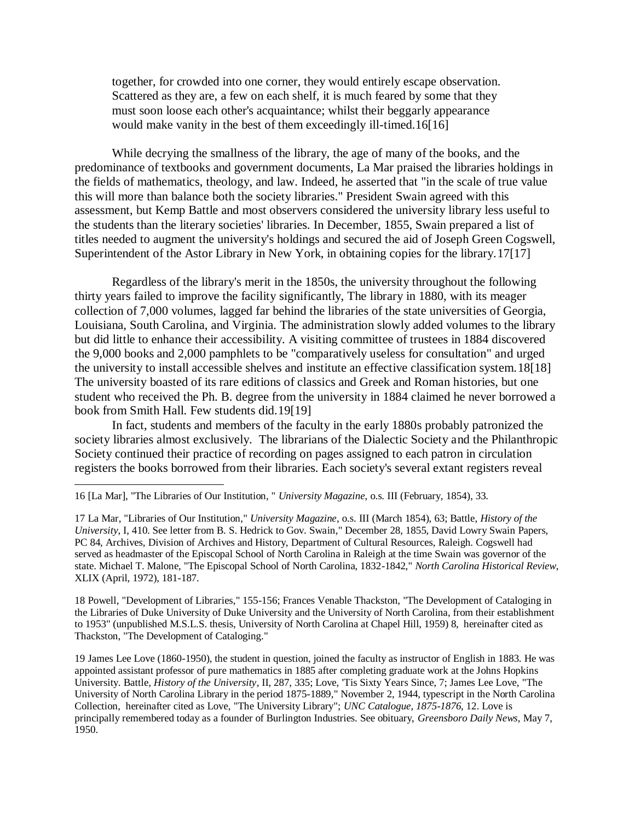together, for crowded into one corner, they would entirely escape observation. Scattered as they are, a few on each shelf, it is much feared by some that they must soon loose each other's acquaintance; whilst their beggarly appearance would make vanity in the best of them exceedingly ill-timed.16[16]

While decrying the smallness of the library, the age of many of the books, and the predominance of textbooks and government documents, La Mar praised the libraries holdings in the fields of mathematics, theology, and law. Indeed, he asserted that "in the scale of true value this will more than balance both the society libraries." President Swain agreed with this assessment, but Kemp Battle and most observers considered the university library less useful to the students than the literary societies' libraries. In December, 1855, Swain prepared a list of titles needed to augment the university's holdings and secured the aid of Joseph Green Cogswell, Superintendent of the Astor Library in New York, in obtaining copies for the library.17[17]

Regardless of the library's merit in the 1850s, the university throughout the following thirty years failed to improve the facility significantly, The library in 1880, with its meager collection of 7,000 volumes, lagged far behind the libraries of the state universities of Georgia, Louisiana, South Carolina, and Virginia. The administration slowly added volumes to the library but did little to enhance their accessibility. A visiting committee of trustees in 1884 discovered the 9,000 books and 2,000 pamphlets to be "comparatively useless for consultation" and urged the university to install accessible shelves and institute an effective classification system.18[18] The university boasted of its rare editions of classics and Greek and Roman histories, but one student who received the Ph. B. degree from the university in 1884 claimed he never borrowed a book from Smith Hall. Few students did.19[19]

In fact, students and members of the faculty in the early 1880s probably patronized the society libraries almost exclusively. The librarians of the Dialectic Society and the Philanthropic Society continued their practice of recording on pages assigned to each patron in circulation registers the books borrowed from their libraries. Each society's several extant registers reveal

 $\overline{\phantom{a}}$ 

17 La Mar, "Libraries of Our Institution," *University Magazine*, o.s. III (March 1854), 63; Battle*, History of the University*, I, 410. See letter from B. S. Hedrick to Gov. Swain," December 28, 1855, David Lowry Swain Papers, PC 84, Archives, Division of Archives and History, Department of Cultural Resources, Raleigh. Cogswell had served as headmaster of the Episcopal School of North Carolina in Raleigh at the time Swain was governor of the state. Michael T. Malone, "The Episcopal School of North Carolina, 1832-1842," *North Carolina Historical Review*, XLIX (April, 1972), 181-187.

18 Powell, "Development of Libraries," 155-156; Frances Venable Thackston, "The Development of Cataloging in the Libraries of Duke University of Duke University and the University of North Carolina, from their establishment to 1953" (unpublished M.S.L.S. thesis, University of North Carolina at Chapel Hill, 1959) 8, hereinafter cited as Thackston, "The Development of Cataloging."

19 James Lee Love (1860-1950), the student in question, joined the faculty as instructor of English in 1883. He was appointed assistant professor of pure mathematics in 1885 after completing graduate work at the Johns Hopkins University. Battle*, History of the University*, II, 287, 335; Love, 'Tis Sixty Years Since, 7; James Lee Love, "The University of North Carolina Library in the period 1875-1889," November 2, 1944, typescript in the North Carolina Collection, hereinafter cited as Love, "The University Library"; *UNC Catalogue, 1875-1876*, 12. Love is principally remembered today as a founder of Burlington Industries. See obituary, *Greensboro Daily News*, May 7, 1950.

<sup>16</sup> [La Mar], "The Libraries of Our Institution, " *University Magazine*, o.s. III (February, 1854), 33.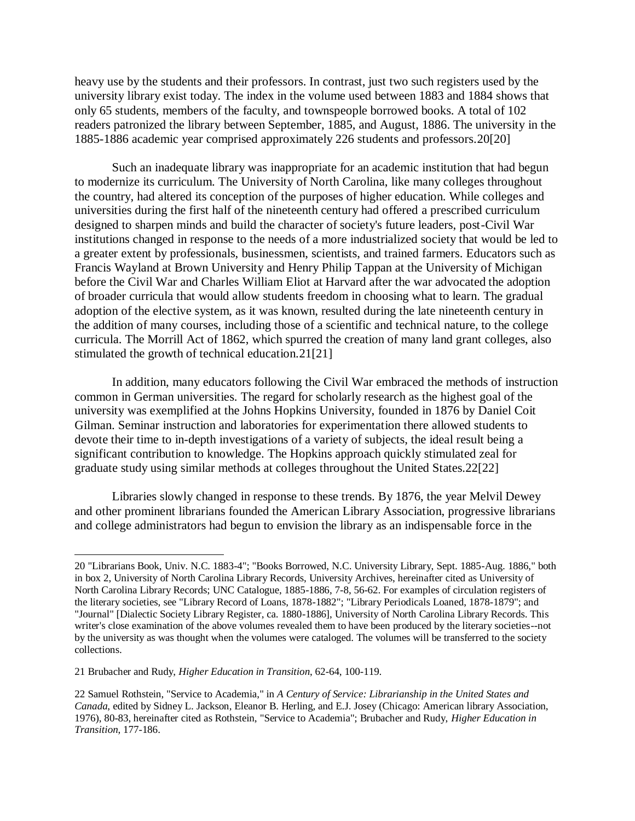heavy use by the students and their professors. In contrast, just two such registers used by the university library exist today. The index in the volume used between 1883 and 1884 shows that only 65 students, members of the faculty, and townspeople borrowed books. A total of 102 readers patronized the library between September, 1885, and August, 1886. The university in the 1885-1886 academic year comprised approximately 226 students and professors.20[20]

Such an inadequate library was inappropriate for an academic institution that had begun to modernize its curriculum. The University of North Carolina, like many colleges throughout the country, had altered its conception of the purposes of higher education. While colleges and universities during the first half of the nineteenth century had offered a prescribed curriculum designed to sharpen minds and build the character of society's future leaders, post-Civil War institutions changed in response to the needs of a more industrialized society that would be led to a greater extent by professionals, businessmen, scientists, and trained farmers. Educators such as Francis Wayland at Brown University and Henry Philip Tappan at the University of Michigan before the Civil War and Charles William Eliot at Harvard after the war advocated the adoption of broader curricula that would allow students freedom in choosing what to learn. The gradual adoption of the elective system, as it was known, resulted during the late nineteenth century in the addition of many courses, including those of a scientific and technical nature, to the college curricula. The Morrill Act of 1862, which spurred the creation of many land grant colleges, also stimulated the growth of technical education.21[21]

In addition, many educators following the Civil War embraced the methods of instruction common in German universities. The regard for scholarly research as the highest goal of the university was exemplified at the Johns Hopkins University, founded in 1876 by Daniel Coit Gilman. Seminar instruction and laboratories for experimentation there allowed students to devote their time to in-depth investigations of a variety of subjects, the ideal result being a significant contribution to knowledge. The Hopkins approach quickly stimulated zeal for graduate study using similar methods at colleges throughout the United States.22[22]

Libraries slowly changed in response to these trends. By 1876, the year Melvil Dewey and other prominent librarians founded the American Library Association, progressive librarians and college administrators had begun to envision the library as an indispensable force in the

 $\overline{\phantom{a}}$ 

<sup>20</sup> "Librarians Book, Univ. N.C. 1883-4"; "Books Borrowed, N.C. University Library, Sept. 1885-Aug. 1886," both in box 2, University of North Carolina Library Records, University Archives, hereinafter cited as University of North Carolina Library Records; UNC Catalogue, 1885-1886, 7-8, 56-62. For examples of circulation registers of the literary societies, see "Library Record of Loans, 1878-1882"; "Library Periodicals Loaned, 1878-1879"; and "Journal" [Dialectic Society Library Register, ca. 1880-1886], University of North Carolina Library Records. This writer's close examination of the above volumes revealed them to have been produced by the literary societies--not by the university as was thought when the volumes were cataloged. The volumes will be transferred to the society collections.

<sup>21</sup> Brubacher and Rudy, *Higher Education in Transition*, 62-64, 100-119.

<sup>22</sup> Samuel Rothstein, "Service to Academia," in *A Century of Service: Librarianship in the United States and Canada*, edited by Sidney L. Jackson, Eleanor B. Herling, and E.J. Josey (Chicago: American library Association, 1976), 80-83, hereinafter cited as Rothstein, "Service to Academia"; Brubacher and Rudy, *Higher Education in Transition*, 177-186.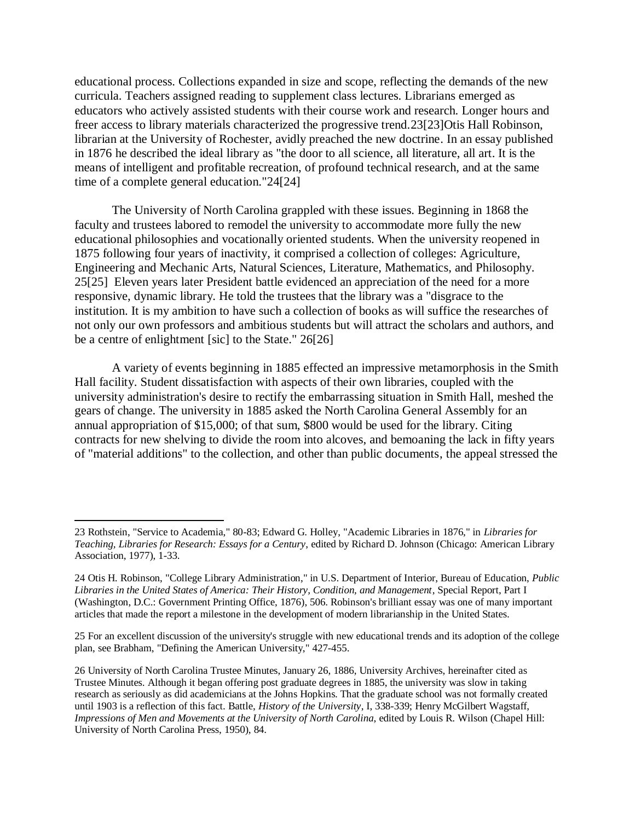educational process. Collections expanded in size and scope, reflecting the demands of the new curricula. Teachers assigned reading to supplement class lectures. Librarians emerged as educators who actively assisted students with their course work and research. Longer hours and freer access to library materials characterized the progressive trend.23[23]Otis Hall Robinson, librarian at the University of Rochester, avidly preached the new doctrine. In an essay published in 1876 he described the ideal library as "the door to all science, all literature, all art. It is the means of intelligent and profitable recreation, of profound technical research, and at the same time of a complete general education."24[24]

The University of North Carolina grappled with these issues. Beginning in 1868 the faculty and trustees labored to remodel the university to accommodate more fully the new educational philosophies and vocationally oriented students. When the university reopened in 1875 following four years of inactivity, it comprised a collection of colleges: Agriculture, Engineering and Mechanic Arts, Natural Sciences, Literature, Mathematics, and Philosophy. 25[25] Eleven years later President battle evidenced an appreciation of the need for a more responsive, dynamic library. He told the trustees that the library was a "disgrace to the institution. It is my ambition to have such a collection of books as will suffice the researches of not only our own professors and ambitious students but will attract the scholars and authors, and be a centre of enlightment [sic] to the State." 26[26]

A variety of events beginning in 1885 effected an impressive metamorphosis in the Smith Hall facility. Student dissatisfaction with aspects of their own libraries, coupled with the university administration's desire to rectify the embarrassing situation in Smith Hall, meshed the gears of change. The university in 1885 asked the North Carolina General Assembly for an annual appropriation of \$15,000; of that sum, \$800 would be used for the library. Citing contracts for new shelving to divide the room into alcoves, and bemoaning the lack in fifty years of "material additions" to the collection, and other than public documents, the appeal stressed the

<sup>23</sup> Rothstein, "Service to Academia," 80-83; Edward G. Holley, "Academic Libraries in 1876," in *Libraries for Teaching, Libraries for Research: Essays for a Century*, edited by Richard D. Johnson (Chicago: American Library Association, 1977), 1-33.

<sup>24</sup> Otis H. Robinson, "College Library Administration," in U.S. Department of Interior, Bureau of Education, *Public Libraries in the United States of America: Their History, Condition, and Management*, Special Report, Part I (Washington, D.C.: Government Printing Office, 1876), 506. Robinson's brilliant essay was one of many important articles that made the report a milestone in the development of modern librarianship in the United States.

<sup>25</sup> For an excellent discussion of the university's struggle with new educational trends and its adoption of the college plan, see Brabham, "Defining the American University," 427-455.

<sup>26</sup> University of North Carolina Trustee Minutes, January 26, 1886, University Archives, hereinafter cited as Trustee Minutes. Although it began offering post graduate degrees in 1885, the university was slow in taking research as seriously as did academicians at the Johns Hopkins. That the graduate school was not formally created until 1903 is a reflection of this fact. Battle, *History of the University*, I, 338-339; Henry McGilbert Wagstaff, *Impressions of Men and Movements at the University of North Carolina*, edited by Louis R. Wilson (Chapel Hill: University of North Carolina Press, 1950), 84.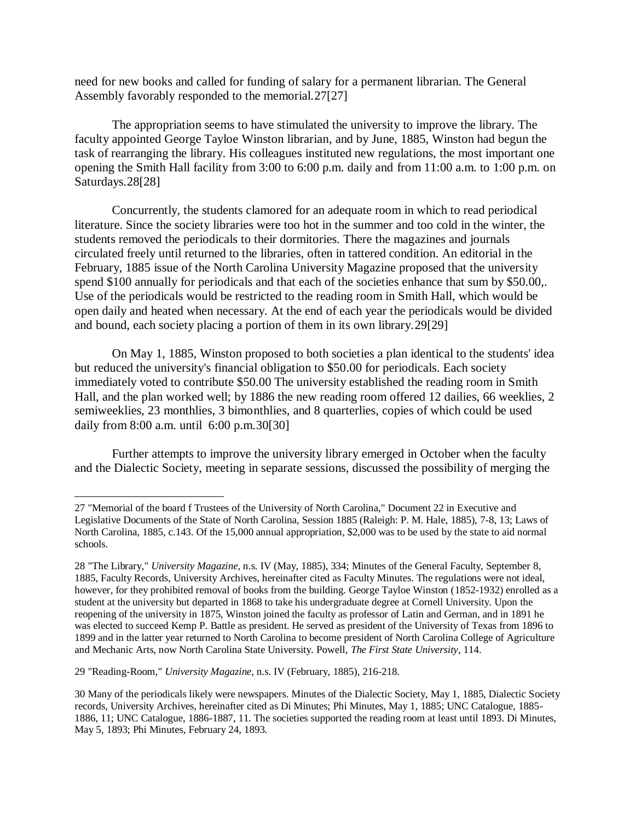need for new books and called for funding of salary for a permanent librarian. The General Assembly favorably responded to the memorial.27[27]

The appropriation seems to have stimulated the university to improve the library. The faculty appointed George Tayloe Winston librarian, and by June, 1885, Winston had begun the task of rearranging the library. His colleagues instituted new regulations, the most important one opening the Smith Hall facility from 3:00 to 6:00 p.m. daily and from 11:00 a.m. to 1:00 p.m. on Saturdays.28[28]

Concurrently, the students clamored for an adequate room in which to read periodical literature. Since the society libraries were too hot in the summer and too cold in the winter, the students removed the periodicals to their dormitories. There the magazines and journals circulated freely until returned to the libraries, often in tattered condition. An editorial in the February, 1885 issue of the North Carolina University Magazine proposed that the university spend \$100 annually for periodicals and that each of the societies enhance that sum by \$50.00,. Use of the periodicals would be restricted to the reading room in Smith Hall, which would be open daily and heated when necessary. At the end of each year the periodicals would be divided and bound, each society placing a portion of them in its own library.29[29]

On May 1, 1885, Winston proposed to both societies a plan identical to the students' idea but reduced the university's financial obligation to \$50.00 for periodicals. Each society immediately voted to contribute \$50.00 The university established the reading room in Smith Hall, and the plan worked well; by 1886 the new reading room offered 12 dailies, 66 weeklies, 2 semiweeklies, 23 monthlies, 3 bimonthlies, and 8 quarterlies, copies of which could be used daily from 8:00 a.m. until 6:00 p.m.30[30]

Further attempts to improve the university library emerged in October when the faculty and the Dialectic Society, meeting in separate sessions, discussed the possibility of merging the

29 "Reading-Room," *University Magazine*, n.s. IV (February, 1885), 216-218.

<sup>27</sup> "Memorial of the board f Trustees of the University of North Carolina," Document 22 in Executive and Legislative Documents of the State of North Carolina, Session 1885 (Raleigh: P. M. Hale, 1885), 7-8, 13; Laws of North Carolina, 1885, c.143. Of the 15,000 annual appropriation, \$2,000 was to be used by the state to aid normal schools.

<sup>28</sup> "The Library," *University Magazine*, n.s. IV (May, 1885), 334; Minutes of the General Faculty, September 8, 1885, Faculty Records, University Archives, hereinafter cited as Faculty Minutes. The regulations were not ideal, however, for they prohibited removal of books from the building. George Tayloe Winston (1852-1932) enrolled as a student at the university but departed in 1868 to take his undergraduate degree at Cornell University. Upon the reopening of the university in 1875, Winston joined the faculty as professor of Latin and German, and in 1891 he was elected to succeed Kemp P. Battle as president. He served as president of the University of Texas from 1896 to 1899 and in the latter year returned to North Carolina to become president of North Carolina College of Agriculture and Mechanic Arts, now North Carolina State University. Powell, *The First State University*, 114.

<sup>30</sup> Many of the periodicals likely were newspapers. Minutes of the Dialectic Society, May 1, 1885, Dialectic Society records, University Archives, hereinafter cited as Di Minutes; Phi Minutes, May 1, 1885; UNC Catalogue, 1885- 1886, 11; UNC Catalogue, 1886-1887, 11. The societies supported the reading room at least until 1893. Di Minutes, May 5, 1893; Phi Minutes, February 24, 1893.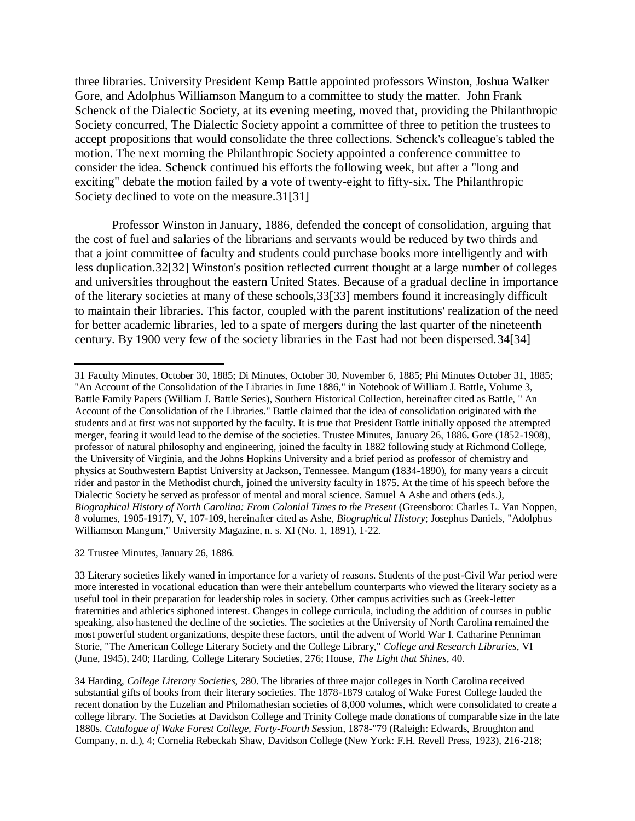three libraries. University President Kemp Battle appointed professors Winston, Joshua Walker Gore, and Adolphus Williamson Mangum to a committee to study the matter. John Frank Schenck of the Dialectic Society, at its evening meeting, moved that, providing the Philanthropic Society concurred, The Dialectic Society appoint a committee of three to petition the trustees to accept propositions that would consolidate the three collections. Schenck's colleague's tabled the motion. The next morning the Philanthropic Society appointed a conference committee to consider the idea. Schenck continued his efforts the following week, but after a "long and exciting" debate the motion failed by a vote of twenty-eight to fifty-six. The Philanthropic Society declined to vote on the measure.31[31]

Professor Winston in January, 1886, defended the concept of consolidation, arguing that the cost of fuel and salaries of the librarians and servants would be reduced by two thirds and that a joint committee of faculty and students could purchase books more intelligently and with less duplication.32[32] Winston's position reflected current thought at a large number of colleges and universities throughout the eastern United States. Because of a gradual decline in importance of the literary societies at many of these schools,33[33] members found it increasingly difficult to maintain their libraries. This factor, coupled with the parent institutions' realization of the need for better academic libraries, led to a spate of mergers during the last quarter of the nineteenth century. By 1900 very few of the society libraries in the East had not been dispersed.34[34]

32 Trustee Minutes, January 26, 1886.

<sup>31</sup> Faculty Minutes, October 30, 1885; Di Minutes, October 30, November 6, 1885; Phi Minutes October 31, 1885; "An Account of the Consolidation of the Libraries in June 1886," in Notebook of William J. Battle, Volume 3, Battle Family Papers (William J. Battle Series), Southern Historical Collection, hereinafter cited as Battle, " An Account of the Consolidation of the Libraries." Battle claimed that the idea of consolidation originated with the students and at first was not supported by the faculty. It is true that President Battle initially opposed the attempted merger, fearing it would lead to the demise of the societies. Trustee Minutes, January 26, 1886. Gore (1852-1908), professor of natural philosophy and engineering, joined the faculty in 1882 following study at Richmond College, the University of Virginia, and the Johns Hopkins University and a brief period as professor of chemistry and physics at Southwestern Baptist University at Jackson, Tennessee. Mangum (1834-1890), for many years a circuit rider and pastor in the Methodist church, joined the university faculty in 1875. At the time of his speech before the Dialectic Society he served as professor of mental and moral science. Samuel A Ashe and others (eds*.), Biographical History of North Carolina: From Colonial Times to the Present* (Greensboro: Charles L. Van Noppen, 8 volumes, 1905-1917), V, 107-109, hereinafter cited as Ashe, *Biographical History*; Josephus Daniels, "Adolphus Williamson Mangum," University Magazine, n. s. XI (No. 1, 1891), 1-22.

<sup>33</sup> Literary societies likely waned in importance for a variety of reasons. Students of the post-Civil War period were more interested in vocational education than were their antebellum counterparts who viewed the literary society as a useful tool in their preparation for leadership roles in society. Other campus activities such as Greek-letter fraternities and athletics siphoned interest. Changes in college curricula, including the addition of courses in public speaking, also hastened the decline of the societies. The societies at the University of North Carolina remained the most powerful student organizations, despite these factors, until the advent of World War I. Catharine Penniman Storie, "The American College Literary Society and the College Library," *College and Research Libraries*, VI (June, 1945), 240; Harding, College Literary Societies, 276; House, *The Light that Shines*, 40.

<sup>34</sup> Harding, *College Literary Societies*, 280. The libraries of three major colleges in North Carolina received substantial gifts of books from their literary societies. The 1878-1879 catalog of Wake Forest College lauded the recent donation by the Euzelian and Philomathesian societies of 8,000 volumes, which were consolidated to create a college library. The Societies at Davidson College and Trinity College made donations of comparable size in the late 1880s. *Catalogue of Wake Forest College, Forty-Fourth Sess*ion, 1878-"79 (Raleigh: Edwards, Broughton and Company, n. d.), 4; Cornelia Rebeckah Shaw, Davidson College (New York: F.H. Revell Press, 1923), 216-218;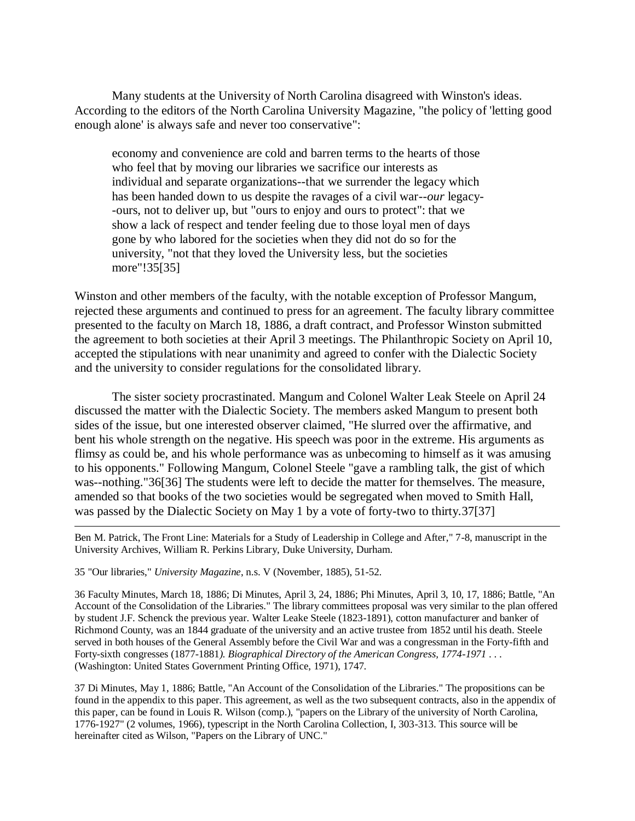Many students at the University of North Carolina disagreed with Winston's ideas. According to the editors of the North Carolina University Magazine, "the policy of 'letting good enough alone' is always safe and never too conservative":

economy and convenience are cold and barren terms to the hearts of those who feel that by moving our libraries we sacrifice our interests as individual and separate organizations--that we surrender the legacy which has been handed down to us despite the ravages of a civil war--*our* legacy- -ours, not to deliver up, but "ours to enjoy and ours to protect": that we show a lack of respect and tender feeling due to those loyal men of days gone by who labored for the societies when they did not do so for the university, "not that they loved the University less, but the societies more"!35[35]

Winston and other members of the faculty, with the notable exception of Professor Mangum, rejected these arguments and continued to press for an agreement. The faculty library committee presented to the faculty on March 18, 1886, a draft contract, and Professor Winston submitted the agreement to both societies at their April 3 meetings. The Philanthropic Society on April 10, accepted the stipulations with near unanimity and agreed to confer with the Dialectic Society and the university to consider regulations for the consolidated library.

The sister society procrastinated. Mangum and Colonel Walter Leak Steele on April 24 discussed the matter with the Dialectic Society. The members asked Mangum to present both sides of the issue, but one interested observer claimed, "He slurred over the affirmative, and bent his whole strength on the negative. His speech was poor in the extreme. His arguments as flimsy as could be, and his whole performance was as unbecoming to himself as it was amusing to his opponents." Following Mangum, Colonel Steele "gave a rambling talk, the gist of which was--nothing."36[36] The students were left to decide the matter for themselves. The measure, amended so that books of the two societies would be segregated when moved to Smith Hall, was passed by the Dialectic Society on May 1 by a vote of forty-two to thirty.37[37]

Ben M. Patrick, The Front Line: Materials for a Study of Leadership in College and After," 7-8, manuscript in the University Archives, William R. Perkins Library, Duke University, Durham.

35 "Our libraries," *University Magazine*, n.s. V (November, 1885), 51-52.

 $\overline{\phantom{a}}$ 

36 Faculty Minutes, March 18, 1886; Di Minutes, April 3, 24, 1886; Phi Minutes, April 3, 10, 17, 1886; Battle, "An Account of the Consolidation of the Libraries." The library committees proposal was very similar to the plan offered by student J.F. Schenck the previous year. Walter Leake Steele (1823-1891), cotton manufacturer and banker of Richmond County, was an 1844 graduate of the university and an active trustee from 1852 until his death. Steele served in both houses of the General Assembly before the Civil War and was a congressman in the Forty-fifth and Forty-sixth congresses (1877-1881*). Biographical Directory of the American Congress, 1774-1971* . . . (Washington: United States Government Printing Office, 1971), 1747.

37 Di Minutes, May 1, 1886; Battle, "An Account of the Consolidation of the Libraries." The propositions can be found in the appendix to this paper. This agreement, as well as the two subsequent contracts, also in the appendix of this paper, can be found in Louis R. Wilson (comp.), "papers on the Library of the university of North Carolina, 1776-1927" (2 volumes, 1966), typescript in the North Carolina Collection, I, 303-313. This source will be hereinafter cited as Wilson, "Papers on the Library of UNC."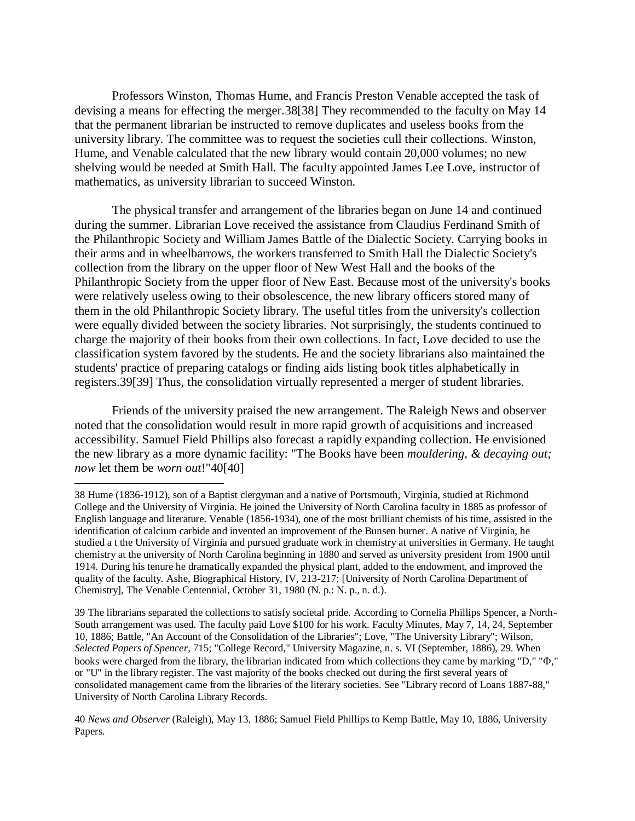Professors Winston, Thomas Hume, and Francis Preston Venable accepted the task of devising a means for effecting the merger.38[38] They recommended to the faculty on May 14 that the permanent librarian be instructed to remove duplicates and useless books from the university library. The committee was to request the societies cull their collections. Winston, Hume, and Venable calculated that the new library would contain 20,000 volumes; no new shelving would be needed at Smith Hall. The faculty appointed James Lee Love, instructor of mathematics, as university librarian to succeed Winston.

The physical transfer and arrangement of the libraries began on June 14 and continued during the summer. Librarian Love received the assistance from Claudius Ferdinand Smith of the Philanthropic Society and William James Battle of the Dialectic Society. Carrying books in their arms and in wheelbarrows, the workers transferred to Smith Hall the Dialectic Society's collection from the library on the upper floor of New West Hall and the books of the Philanthropic Society from the upper floor of New East. Because most of the university's books were relatively useless owing to their obsolescence, the new library officers stored many of them in the old Philanthropic Society library. The useful titles from the university's collection were equally divided between the society libraries. Not surprisingly, the students continued to charge the majority of their books from their own collections. In fact, Love decided to use the classification system favored by the students. He and the society librarians also maintained the students' practice of preparing catalogs or finding aids listing book titles alphabetically in registers.39[39] Thus, the consolidation virtually represented a merger of student libraries.

Friends of the university praised the new arrangement. The Raleigh News and observer noted that the consolidation would result in more rapid growth of acquisitions and increased accessibility. Samuel Field Phillips also forecast a rapidly expanding collection. He envisioned the new library as a more dynamic facility: "The Books have been *mouldering, & decaying out; now* let them be *worn out*!"40[40]

 $\overline{\phantom{a}}$ 

<sup>38</sup> Hume (1836-1912), son of a Baptist clergyman and a native of Portsmouth, Virginia, studied at Richmond College and the University of Virginia. He joined the University of North Carolina faculty in 1885 as professor of English language and literature. Venable (1856-1934), one of the most brilliant chemists of his time, assisted in the identification of calcium carbide and invented an improvement of the Bunsen burner. A native of Virginia, he studied a t the University of Virginia and pursued graduate work in chemistry at universities in Germany. He taught chemistry at the university of North Carolina beginning in 1880 and served as university president from 1900 until 1914. During his tenure he dramatically expanded the physical plant, added to the endowment, and improved the quality of the faculty. Ashe, Biographical History, IV, 213-217; [University of North Carolina Department of Chemistry], The Venable Centennial, October 31, 1980 (N. p.: N. p., n. d.).

<sup>39</sup> The librarians separated the collections to satisfy societal pride. According to Cornelia Phillips Spencer, a North-South arrangement was used. The faculty paid Love \$100 for his work. Faculty Minutes, May 7, 14, 24, September 10, 1886; Battle, "An Account of the Consolidation of the Libraries"; Love, "The University Library"; Wilson, *Selected Papers of Spencer*, 715; "College Record," University Magazine, n. s. VI (September, 1886), 29. When books were charged from the library, the librarian indicated from which collections they came by marking "D," " $\Phi$ ," or "U" in the library register. The vast majority of the books checked out during the first several years of consolidated management came from the libraries of the literary societies. See "Library record of Loans 1887-88," University of North Carolina Library Records.

<sup>40</sup> *News and Observer* (Raleigh), May 13, 1886; Samuel Field Phillips to Kemp Battle, May 10, 1886, University Papers.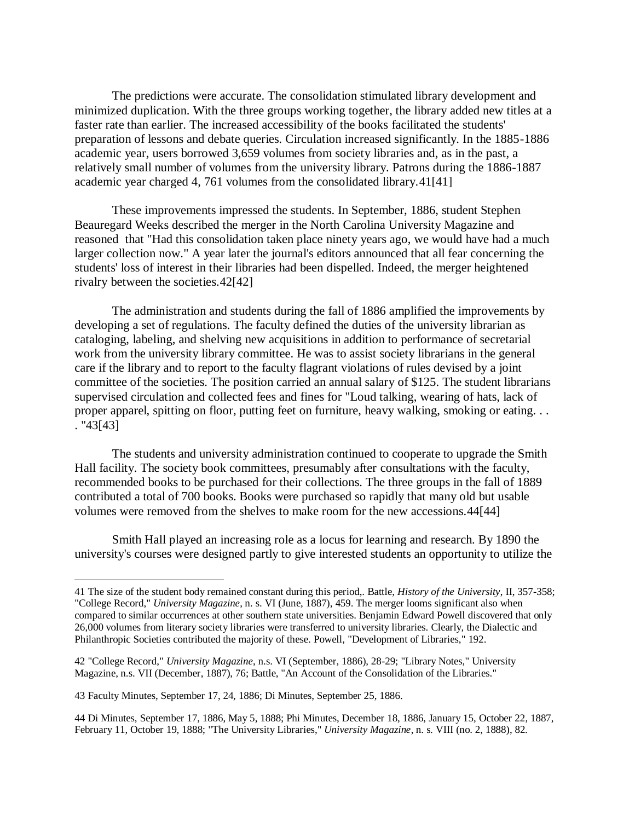The predictions were accurate. The consolidation stimulated library development and minimized duplication. With the three groups working together, the library added new titles at a faster rate than earlier. The increased accessibility of the books facilitated the students' preparation of lessons and debate queries. Circulation increased significantly. In the 1885-1886 academic year, users borrowed 3,659 volumes from society libraries and, as in the past, a relatively small number of volumes from the university library. Patrons during the 1886-1887 academic year charged 4, 761 volumes from the consolidated library.41[41]

These improvements impressed the students. In September, 1886, student Stephen Beauregard Weeks described the merger in the North Carolina University Magazine and reasoned that "Had this consolidation taken place ninety years ago, we would have had a much larger collection now." A year later the journal's editors announced that all fear concerning the students' loss of interest in their libraries had been dispelled. Indeed, the merger heightened rivalry between the societies.42[42]

The administration and students during the fall of 1886 amplified the improvements by developing a set of regulations. The faculty defined the duties of the university librarian as cataloging, labeling, and shelving new acquisitions in addition to performance of secretarial work from the university library committee. He was to assist society librarians in the general care if the library and to report to the faculty flagrant violations of rules devised by a joint committee of the societies. The position carried an annual salary of \$125. The student librarians supervised circulation and collected fees and fines for "Loud talking, wearing of hats, lack of proper apparel, spitting on floor, putting feet on furniture, heavy walking, smoking or eating. . . . "43[43]

The students and university administration continued to cooperate to upgrade the Smith Hall facility. The society book committees, presumably after consultations with the faculty, recommended books to be purchased for their collections. The three groups in the fall of 1889 contributed a total of 700 books. Books were purchased so rapidly that many old but usable volumes were removed from the shelves to make room for the new accessions.44[44]

Smith Hall played an increasing role as a locus for learning and research. By 1890 the university's courses were designed partly to give interested students an opportunity to utilize the

<sup>41</sup> The size of the student body remained constant during this period,. Battle, *History of the University*, II, 357-358; "College Record," *University Magazine*, n. s. VI (June, 1887), 459. The merger looms significant also when compared to similar occurrences at other southern state universities. Benjamin Edward Powell discovered that only 26,000 volumes from literary society libraries were transferred to university libraries. Clearly, the Dialectic and Philanthropic Societies contributed the majority of these. Powell, "Development of Libraries," 192.

<sup>42</sup> "College Record," *University Magazine*, n.s. VI (September, 1886), 28-29; "Library Notes," University Magazine, n.s. VII (December, 1887), 76; Battle, "An Account of the Consolidation of the Libraries."

<sup>43</sup> Faculty Minutes, September 17, 24, 1886; Di Minutes, September 25, 1886.

<sup>44</sup> Di Minutes, September 17, 1886, May 5, 1888; Phi Minutes, December 18, 1886, January 15, October 22, 1887, February 11, October 19, 1888; "The University Libraries," *University Magazine*, n. s. VIII (no. 2, 1888), 82.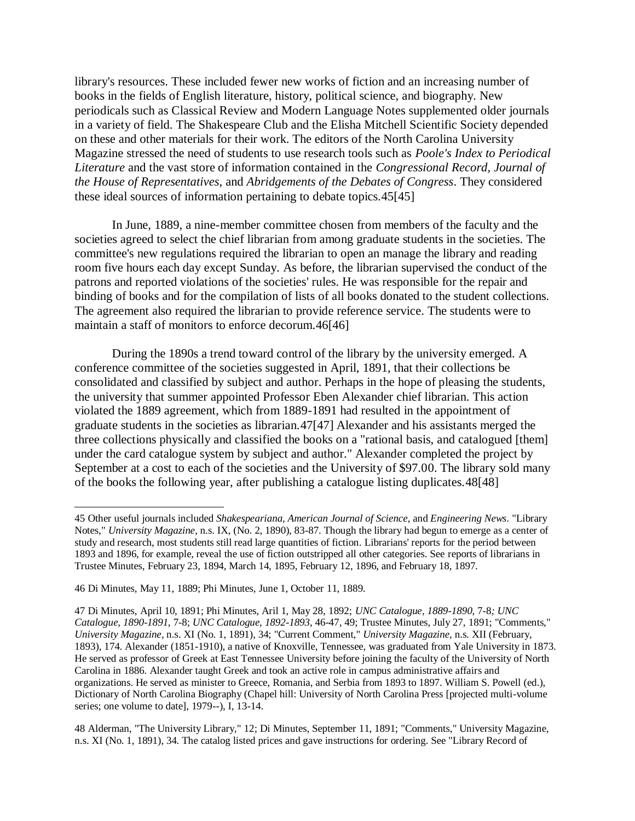library's resources. These included fewer new works of fiction and an increasing number of books in the fields of English literature, history, political science, and biography. New periodicals such as Classical Review and Modern Language Notes supplemented older journals in a variety of field. The Shakespeare Club and the Elisha Mitchell Scientific Society depended on these and other materials for their work. The editors of the North Carolina University Magazine stressed the need of students to use research tools such as *Poole's Index to Periodical Literature* and the vast store of information contained in the *Congressional Record, Journal of the House of Representatives*, and *Abridgements of the Debates of Congress*. They considered these ideal sources of information pertaining to debate topics.45[45]

In June, 1889, a nine-member committee chosen from members of the faculty and the societies agreed to select the chief librarian from among graduate students in the societies. The committee's new regulations required the librarian to open an manage the library and reading room five hours each day except Sunday. As before, the librarian supervised the conduct of the patrons and reported violations of the societies' rules. He was responsible for the repair and binding of books and for the compilation of lists of all books donated to the student collections. The agreement also required the librarian to provide reference service. The students were to maintain a staff of monitors to enforce decorum.46[46]

During the 1890s a trend toward control of the library by the university emerged. A conference committee of the societies suggested in April, 1891, that their collections be consolidated and classified by subject and author. Perhaps in the hope of pleasing the students, the university that summer appointed Professor Eben Alexander chief librarian. This action violated the 1889 agreement, which from 1889-1891 had resulted in the appointment of graduate students in the societies as librarian.47[47] Alexander and his assistants merged the three collections physically and classified the books on a "rational basis, and catalogued [them] under the card catalogue system by subject and author." Alexander completed the project by September at a cost to each of the societies and the University of \$97.00. The library sold many of the books the following year, after publishing a catalogue listing duplicates.48[48]

48 Alderman, "The University Library," 12; Di Minutes, September 11, 1891; "Comments," University Magazine, n.s. XI (No. 1, 1891), 34. The catalog listed prices and gave instructions for ordering. See "Library Record of

 $\overline{a}$ 45 Other useful journals included *Shakespeariana*, *American Journal of Science*, and *Engineering News*. "Library Notes," *University Magazine*, n.s. IX, (No. 2, 1890), 83-87. Though the library had begun to emerge as a center of study and research, most students still read large quantities of fiction. Librarians' reports for the period between 1893 and 1896, for example, reveal the use of fiction outstripped all other categories. See reports of librarians in Trustee Minutes, February 23, 1894, March 14, 1895, February 12, 1896, and February 18, 1897.

<sup>46</sup> Di Minutes, May 11, 1889; Phi Minutes, June 1, October 11, 1889.

<sup>47</sup> Di Minutes, April 10, 1891; Phi Minutes, Aril 1, May 28, 1892; *UNC Catalogue, 1889-1890*, 7-8*; UNC Catalogue, 1890-1891*, 7-8; *UNC Catalogue, 1892-1893*, 46-47, 49; Trustee Minutes, July 27, 1891; "Comments," *University Magazine*, n.s. XI (No. 1, 1891), 34; "Current Comment," *University Magazine*, n.s. XII (February, 1893), 174. Alexander (1851-1910), a native of Knoxville, Tennessee, was graduated from Yale University in 1873. He served as professor of Greek at East Tennessee University before joining the faculty of the University of North Carolina in 1886. Alexander taught Greek and took an active role in campus administrative affairs and organizations. He served as minister to Greece, Romania, and Serbia from 1893 to 1897. William S. Powell (ed.), Dictionary of North Carolina Biography (Chapel hill: University of North Carolina Press [projected multi-volume series; one volume to date], 1979--), I, 13-14.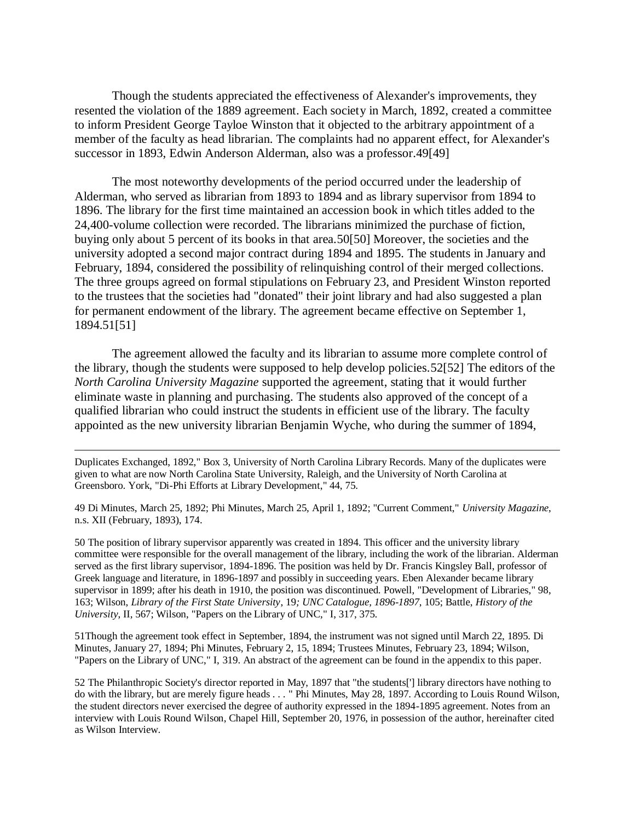Though the students appreciated the effectiveness of Alexander's improvements, they resented the violation of the 1889 agreement. Each society in March, 1892, created a committee to inform President George Tayloe Winston that it objected to the arbitrary appointment of a member of the faculty as head librarian. The complaints had no apparent effect, for Alexander's successor in 1893, Edwin Anderson Alderman, also was a professor.49[49]

The most noteworthy developments of the period occurred under the leadership of Alderman, who served as librarian from 1893 to 1894 and as library supervisor from 1894 to 1896. The library for the first time maintained an accession book in which titles added to the 24,400-volume collection were recorded. The librarians minimized the purchase of fiction, buying only about 5 percent of its books in that area.50[50] Moreover, the societies and the university adopted a second major contract during 1894 and 1895. The students in January and February, 1894, considered the possibility of relinquishing control of their merged collections. The three groups agreed on formal stipulations on February 23, and President Winston reported to the trustees that the societies had "donated" their joint library and had also suggested a plan for permanent endowment of the library. The agreement became effective on September 1, 1894.51[51]

The agreement allowed the faculty and its librarian to assume more complete control of the library, though the students were supposed to help develop policies.52[52] The editors of the *North Carolina University Magazine* supported the agreement, stating that it would further eliminate waste in planning and purchasing. The students also approved of the concept of a qualified librarian who could instruct the students in efficient use of the library. The faculty appointed as the new university librarian Benjamin Wyche, who during the summer of 1894,

Duplicates Exchanged, 1892," Box 3, University of North Carolina Library Records. Many of the duplicates were given to what are now North Carolina State University, Raleigh, and the University of North Carolina at Greensboro. York, "Di-Phi Efforts at Library Development," 44, 75.

 $\overline{a}$ 

49 Di Minutes, March 25, 1892; Phi Minutes, March 25, April 1, 1892; "Current Comment," *University Magazine*, n.s. XII (February, 1893), 174.

50 The position of library supervisor apparently was created in 1894. This officer and the university library committee were responsible for the overall management of the library, including the work of the librarian. Alderman served as the first library supervisor, 1894-1896. The position was held by Dr. Francis Kingsley Ball, professor of Greek language and literature, in 1896-1897 and possibly in succeeding years. Eben Alexander became library supervisor in 1899; after his death in 1910, the position was discontinued. Powell, "Development of Libraries," 98, 163; Wilson, *Library of the First State University*, 19*; UNC Catalogue, 1896-1897*, 105; Battle, *History of the University*, II, 567; Wilson, "Papers on the Library of UNC," I, 317, 375.

51Though the agreement took effect in September, 1894, the instrument was not signed until March 22, 1895. Di Minutes, January 27, 1894; Phi Minutes, February 2, 15, 1894; Trustees Minutes, February 23, 1894; Wilson, "Papers on the Library of UNC," I, 319. An abstract of the agreement can be found in the appendix to this paper.

52 The Philanthropic Society's director reported in May, 1897 that "the students['] library directors have nothing to do with the library, but are merely figure heads . . . " Phi Minutes, May 28, 1897. According to Louis Round Wilson, the student directors never exercised the degree of authority expressed in the 1894-1895 agreement. Notes from an interview with Louis Round Wilson, Chapel Hill, September 20, 1976, in possession of the author, hereinafter cited as Wilson Interview.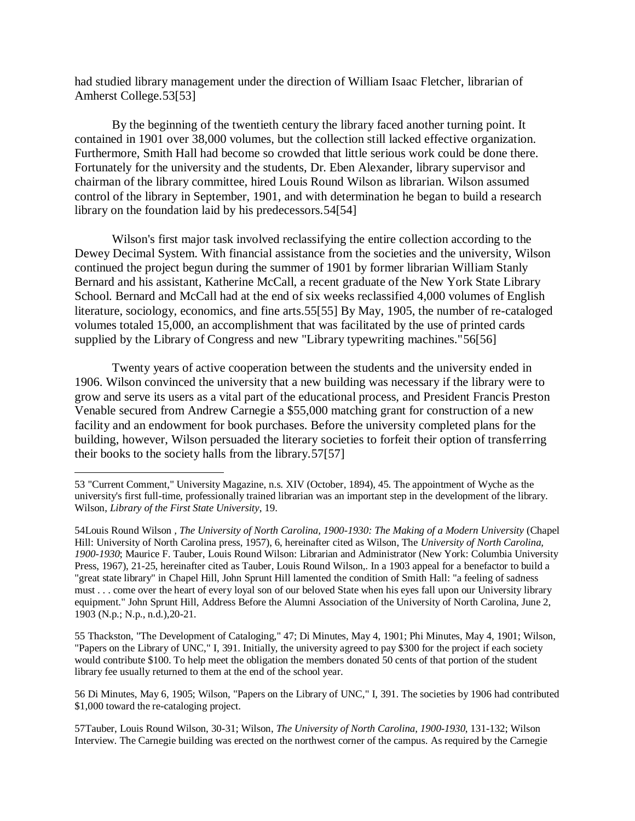had studied library management under the direction of William Isaac Fletcher, librarian of Amherst College.53[53]

By the beginning of the twentieth century the library faced another turning point. It contained in 1901 over 38,000 volumes, but the collection still lacked effective organization. Furthermore, Smith Hall had become so crowded that little serious work could be done there. Fortunately for the university and the students, Dr. Eben Alexander, library supervisor and chairman of the library committee, hired Louis Round Wilson as librarian. Wilson assumed control of the library in September, 1901, and with determination he began to build a research library on the foundation laid by his predecessors.54[54]

Wilson's first major task involved reclassifying the entire collection according to the Dewey Decimal System. With financial assistance from the societies and the university, Wilson continued the project begun during the summer of 1901 by former librarian William Stanly Bernard and his assistant, Katherine McCall, a recent graduate of the New York State Library School. Bernard and McCall had at the end of six weeks reclassified 4,000 volumes of English literature, sociology, economics, and fine arts.55[55] By May, 1905, the number of re-cataloged volumes totaled 15,000, an accomplishment that was facilitated by the use of printed cards supplied by the Library of Congress and new "Library typewriting machines."56[56]

Twenty years of active cooperation between the students and the university ended in 1906. Wilson convinced the university that a new building was necessary if the library were to grow and serve its users as a vital part of the educational process, and President Francis Preston Venable secured from Andrew Carnegie a \$55,000 matching grant for construction of a new facility and an endowment for book purchases. Before the university completed plans for the building, however, Wilson persuaded the literary societies to forfeit their option of transferring their books to the society halls from the library.57[57]

<sup>53</sup> "Current Comment," University Magazine, n.s. XIV (October, 1894), 45. The appointment of Wyche as the university's first full-time, professionally trained librarian was an important step in the development of the library. Wilson, *Library of the First State University*, 19.

<sup>54</sup>Louis Round Wilson *, The University of North Carolina, 1900-1930: The Making of a Modern University* (Chapel Hill: University of North Carolina press, 1957), 6, hereinafter cited as Wilson, The *University of North Carolina, 1900-1930*; Maurice F. Tauber, Louis Round Wilson: Librarian and Administrator (New York: Columbia University Press, 1967), 21-25, hereinafter cited as Tauber, Louis Round Wilson,. In a 1903 appeal for a benefactor to build a "great state library" in Chapel Hill, John Sprunt Hill lamented the condition of Smith Hall: "a feeling of sadness must . . . come over the heart of every loyal son of our beloved State when his eyes fall upon our University library equipment." John Sprunt Hill, Address Before the Alumni Association of the University of North Carolina, June 2, 1903 (N.p.; N.p., n.d.),20-21.

<sup>55</sup> Thackston, "The Development of Cataloging," 47; Di Minutes, May 4, 1901; Phi Minutes, May 4, 1901; Wilson, "Papers on the Library of UNC," I, 391. Initially, the university agreed to pay \$300 for the project if each society would contribute \$100. To help meet the obligation the members donated 50 cents of that portion of the student library fee usually returned to them at the end of the school year.

<sup>56</sup> Di Minutes, May 6, 1905; Wilson, "Papers on the Library of UNC," I, 391. The societies by 1906 had contributed \$1,000 toward the re-cataloging project.

<sup>57</sup>Tauber, Louis Round Wilson, 30-31; Wilson, *The University of North Carolina, 1900-1930*, 131-132; Wilson Interview. The Carnegie building was erected on the northwest corner of the campus. As required by the Carnegie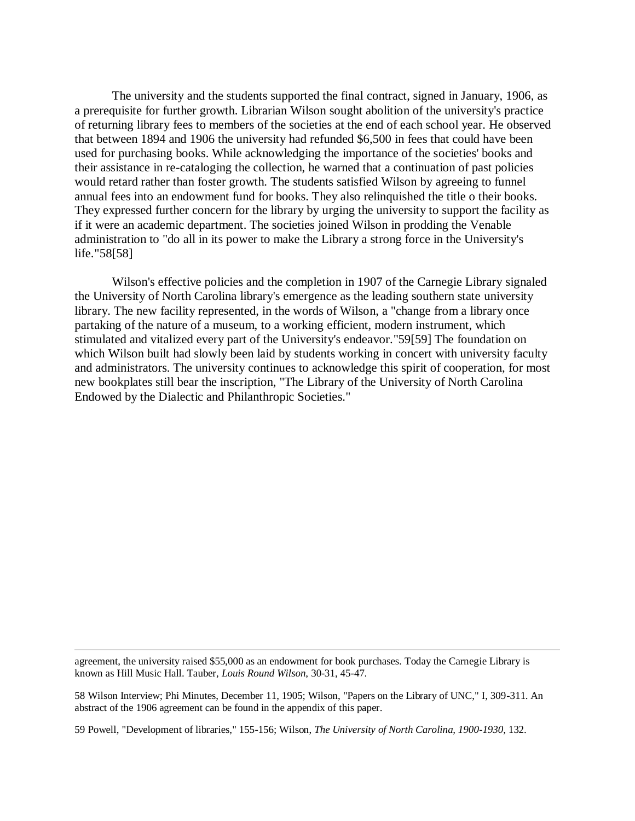The university and the students supported the final contract, signed in January, 1906, as a prerequisite for further growth. Librarian Wilson sought abolition of the university's practice of returning library fees to members of the societies at the end of each school year. He observed that between 1894 and 1906 the university had refunded \$6,500 in fees that could have been used for purchasing books. While acknowledging the importance of the societies' books and their assistance in re-cataloging the collection, he warned that a continuation of past policies would retard rather than foster growth. The students satisfied Wilson by agreeing to funnel annual fees into an endowment fund for books. They also relinquished the title o their books. They expressed further concern for the library by urging the university to support the facility as if it were an academic department. The societies joined Wilson in prodding the Venable administration to "do all in its power to make the Library a strong force in the University's life."58[58]

Wilson's effective policies and the completion in 1907 of the Carnegie Library signaled the University of North Carolina library's emergence as the leading southern state university library. The new facility represented, in the words of Wilson, a "change from a library once partaking of the nature of a museum, to a working efficient, modern instrument, which stimulated and vitalized every part of the University's endeavor."59[59] The foundation on which Wilson built had slowly been laid by students working in concert with university faculty and administrators. The university continues to acknowledge this spirit of cooperation, for most new bookplates still bear the inscription, "The Library of the University of North Carolina Endowed by the Dialectic and Philanthropic Societies."

agreement, the university raised \$55,000 as an endowment for book purchases. Today the Carnegie Library is known as Hill Music Hall. Tauber, *Louis Round Wilson*, 30-31, 45-47.

 $\overline{\phantom{a}}$ 

58 Wilson Interview; Phi Minutes, December 11, 1905; Wilson, "Papers on the Library of UNC," I, 309-311. An abstract of the 1906 agreement can be found in the appendix of this paper.

59 Powell, "Development of libraries," 155-156; Wilson, *The University of North Carolina, 1900-1930*, 132.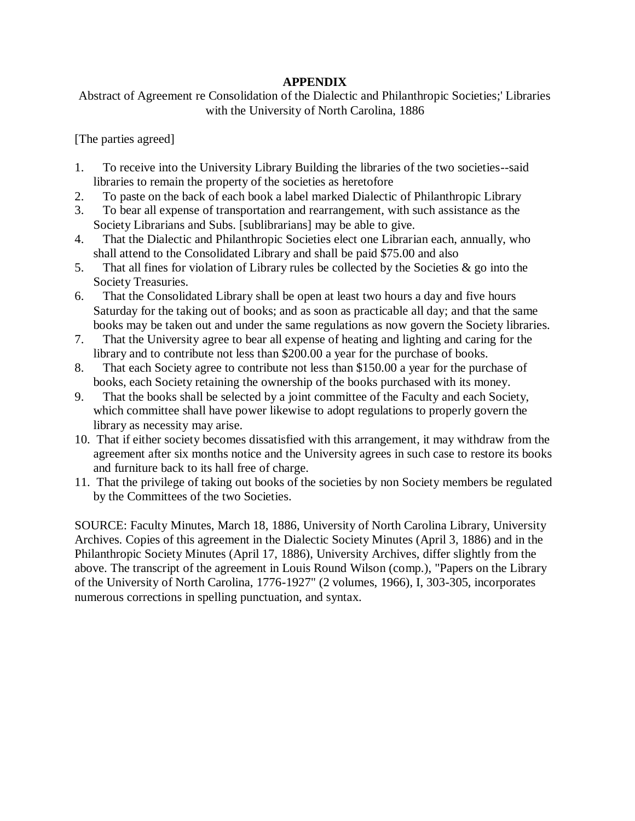# **APPENDIX**

Abstract of Agreement re Consolidation of the Dialectic and Philanthropic Societies;' Libraries with the University of North Carolina, 1886

[The parties agreed]

- 1. To receive into the University Library Building the libraries of the two societies--said libraries to remain the property of the societies as heretofore
- 2. To paste on the back of each book a label marked Dialectic of Philanthropic Library
- 3. To bear all expense of transportation and rearrangement, with such assistance as the Society Librarians and Subs. [sublibrarians] may be able to give.
- 4. That the Dialectic and Philanthropic Societies elect one Librarian each, annually, who shall attend to the Consolidated Library and shall be paid \$75.00 and also
- 5. That all fines for violation of Library rules be collected by the Societies  $\&$  go into the Society Treasuries.
- 6. That the Consolidated Library shall be open at least two hours a day and five hours Saturday for the taking out of books; and as soon as practicable all day; and that the same books may be taken out and under the same regulations as now govern the Society libraries.
- 7. That the University agree to bear all expense of heating and lighting and caring for the library and to contribute not less than \$200.00 a year for the purchase of books.
- 8. That each Society agree to contribute not less than \$150.00 a year for the purchase of books, each Society retaining the ownership of the books purchased with its money.
- 9. That the books shall be selected by a joint committee of the Faculty and each Society, which committee shall have power likewise to adopt regulations to properly govern the library as necessity may arise.
- 10. That if either society becomes dissatisfied with this arrangement, it may withdraw from the agreement after six months notice and the University agrees in such case to restore its books and furniture back to its hall free of charge.
- 11. That the privilege of taking out books of the societies by non Society members be regulated by the Committees of the two Societies.

SOURCE: Faculty Minutes, March 18, 1886, University of North Carolina Library, University Archives. Copies of this agreement in the Dialectic Society Minutes (April 3, 1886) and in the Philanthropic Society Minutes (April 17, 1886), University Archives, differ slightly from the above. The transcript of the agreement in Louis Round Wilson (comp.), "Papers on the Library of the University of North Carolina, 1776-1927" (2 volumes, 1966), I, 303-305, incorporates numerous corrections in spelling punctuation, and syntax.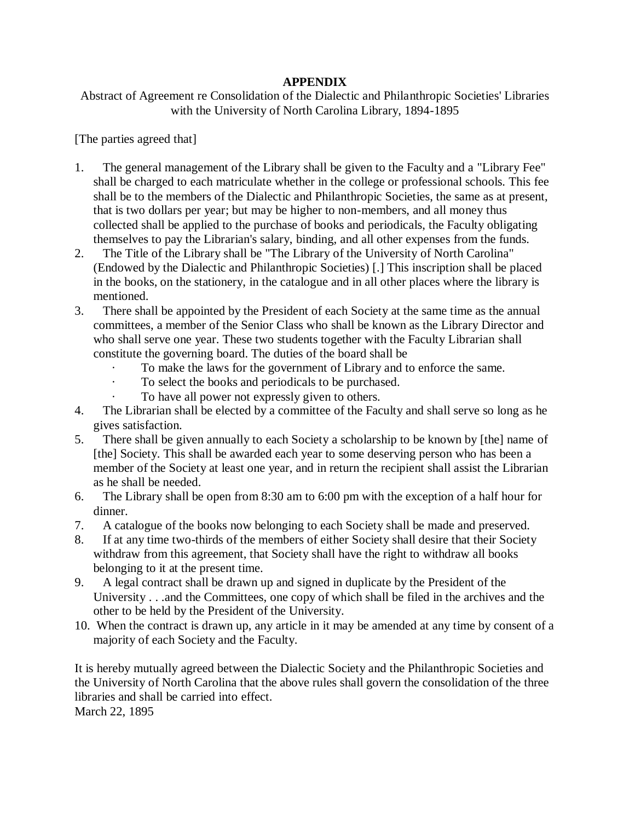# **APPENDIX**

Abstract of Agreement re Consolidation of the Dialectic and Philanthropic Societies' Libraries with the University of North Carolina Library, 1894-1895

[The parties agreed that]

- 1. The general management of the Library shall be given to the Faculty and a "Library Fee" shall be charged to each matriculate whether in the college or professional schools. This fee shall be to the members of the Dialectic and Philanthropic Societies, the same as at present, that is two dollars per year; but may be higher to non-members, and all money thus collected shall be applied to the purchase of books and periodicals, the Faculty obligating themselves to pay the Librarian's salary, binding, and all other expenses from the funds.
- 2. The Title of the Library shall be "The Library of the University of North Carolina" (Endowed by the Dialectic and Philanthropic Societies) [.] This inscription shall be placed in the books, on the stationery, in the catalogue and in all other places where the library is mentioned.
- 3. There shall be appointed by the President of each Society at the same time as the annual committees, a member of the Senior Class who shall be known as the Library Director and who shall serve one year. These two students together with the Faculty Librarian shall constitute the governing board. The duties of the board shall be
	- To make the laws for the government of Library and to enforce the same.
	- To select the books and periodicals to be purchased.
	- To have all power not expressly given to others.
- 4. The Librarian shall be elected by a committee of the Faculty and shall serve so long as he gives satisfaction.
- 5. There shall be given annually to each Society a scholarship to be known by [the] name of [the] Society. This shall be awarded each year to some deserving person who has been a member of the Society at least one year, and in return the recipient shall assist the Librarian as he shall be needed.
- 6. The Library shall be open from 8:30 am to 6:00 pm with the exception of a half hour for dinner.
- 7. A catalogue of the books now belonging to each Society shall be made and preserved.
- 8. If at any time two-thirds of the members of either Society shall desire that their Society withdraw from this agreement, that Society shall have the right to withdraw all books belonging to it at the present time.
- 9. A legal contract shall be drawn up and signed in duplicate by the President of the University . . .and the Committees, one copy of which shall be filed in the archives and the other to be held by the President of the University.
- 10. When the contract is drawn up, any article in it may be amended at any time by consent of a majority of each Society and the Faculty.

It is hereby mutually agreed between the Dialectic Society and the Philanthropic Societies and the University of North Carolina that the above rules shall govern the consolidation of the three libraries and shall be carried into effect. March 22, 1895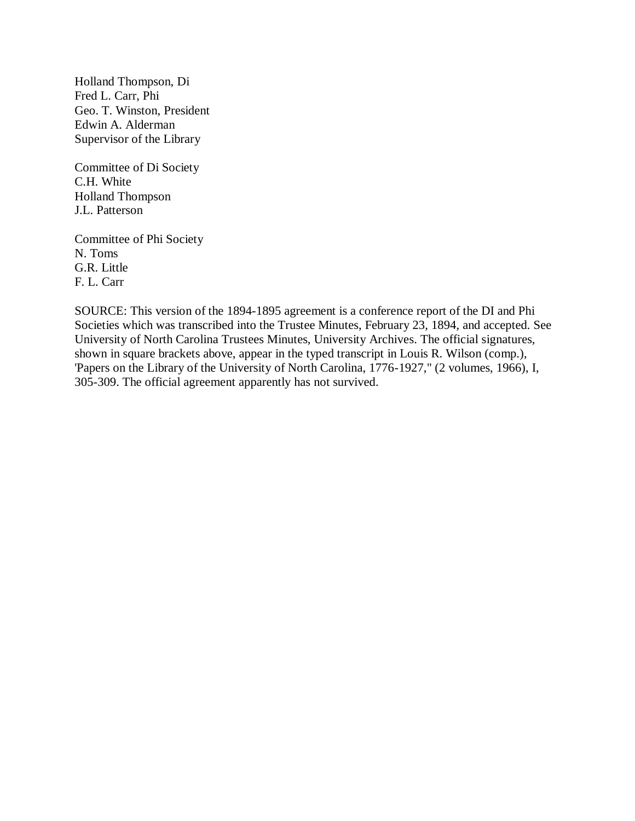Holland Thompson, Di Fred L. Carr, Phi Geo. T. Winston, President Edwin A. Alderman Supervisor of the Library

Committee of Di Society C.H. White Holland Thompson J.L. Patterson

Committee of Phi Society N. Toms G.R. Little F. L. Carr

SOURCE: This version of the 1894-1895 agreement is a conference report of the DI and Phi Societies which was transcribed into the Trustee Minutes, February 23, 1894, and accepted. See University of North Carolina Trustees Minutes, University Archives. The official signatures, shown in square brackets above, appear in the typed transcript in Louis R. Wilson (comp.), 'Papers on the Library of the University of North Carolina, 1776-1927," (2 volumes, 1966), I, 305-309. The official agreement apparently has not survived.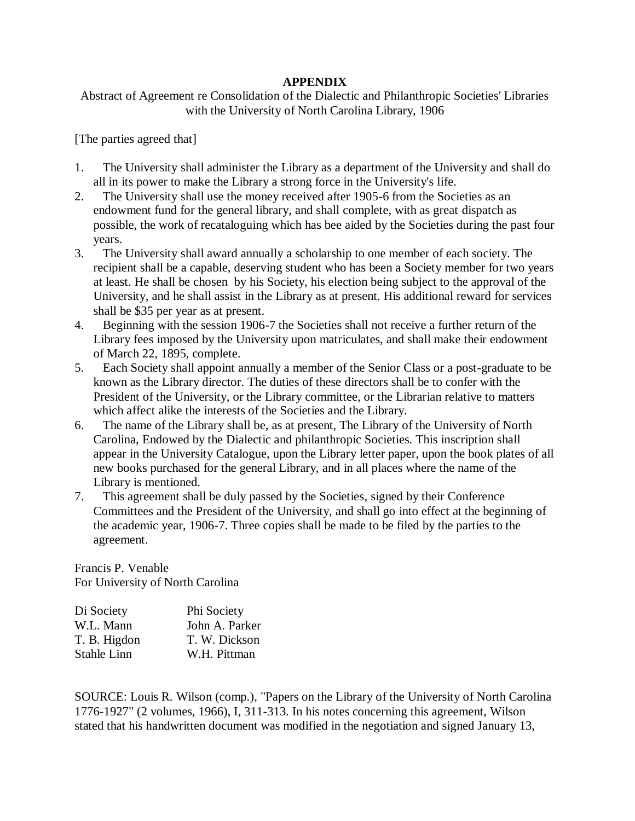## **APPENDIX**

# Abstract of Agreement re Consolidation of the Dialectic and Philanthropic Societies' Libraries with the University of North Carolina Library, 1906

[The parties agreed that]

- 1. The University shall administer the Library as a department of the University and shall do all in its power to make the Library a strong force in the University's life.
- 2. The University shall use the money received after 1905-6 from the Societies as an endowment fund for the general library, and shall complete, with as great dispatch as possible, the work of recataloguing which has bee aided by the Societies during the past four years.
- 3. The University shall award annually a scholarship to one member of each society. The recipient shall be a capable, deserving student who has been a Society member for two years at least. He shall be chosen by his Society, his election being subject to the approval of the University, and he shall assist in the Library as at present. His additional reward for services shall be \$35 per year as at present.
- 4. Beginning with the session 1906-7 the Societies shall not receive a further return of the Library fees imposed by the University upon matriculates, and shall make their endowment of March 22, 1895, complete.
- 5. Each Society shall appoint annually a member of the Senior Class or a post-graduate to be known as the Library director. The duties of these directors shall be to confer with the President of the University, or the Library committee, or the Librarian relative to matters which affect alike the interests of the Societies and the Library.
- 6. The name of the Library shall be, as at present, The Library of the University of North Carolina, Endowed by the Dialectic and philanthropic Societies. This inscription shall appear in the University Catalogue, upon the Library letter paper, upon the book plates of all new books purchased for the general Library, and in all places where the name of the Library is mentioned.
- 7. This agreement shall be duly passed by the Societies, signed by their Conference Committees and the President of the University, and shall go into effect at the beginning of the academic year, 1906-7. Three copies shall be made to be filed by the parties to the agreement.

Francis P. Venable For University of North Carolina

| John A. Parker |
|----------------|
| T. W. Dickson  |
| W.H. Pittman   |
|                |

SOURCE: Louis R. Wilson (comp.), "Papers on the Library of the University of North Carolina 1776-1927" (2 volumes, 1966), I, 311-313. In his notes concerning this agreement, Wilson stated that his handwritten document was modified in the negotiation and signed January 13,